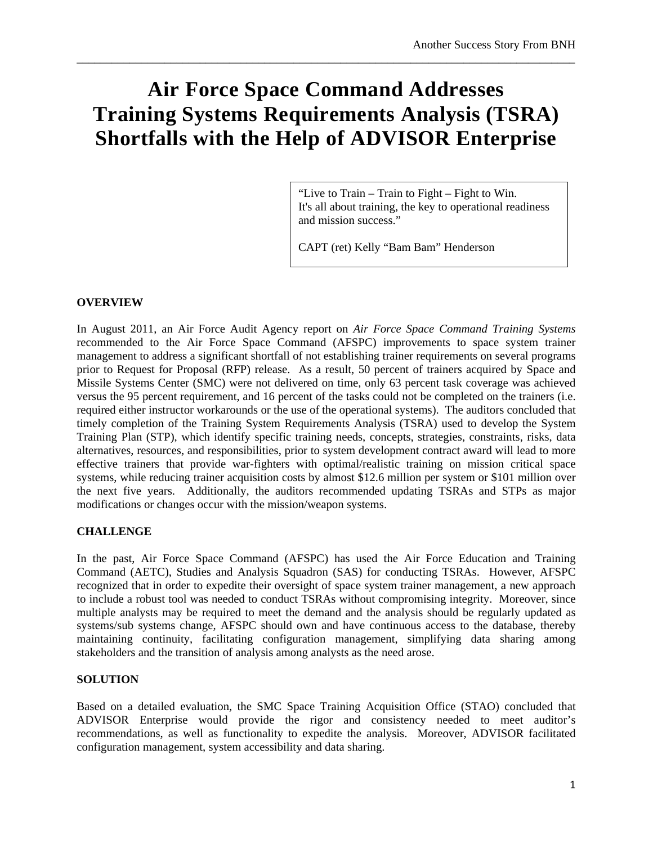# **Air Force Space Command Addresses Training Systems Requirements Analysis (TSRA) Shortfalls with the Help of ADVISOR Enterprise**

\_\_\_\_\_\_\_\_\_\_\_\_\_\_\_\_\_\_\_\_\_\_\_\_\_\_\_\_\_\_\_\_\_\_\_\_\_\_\_\_\_\_\_\_\_\_\_\_\_\_\_\_\_\_\_\_\_\_\_\_\_\_\_\_\_\_\_\_\_\_\_\_\_\_\_\_\_\_\_\_\_\_\_\_\_

"Live to Train – Train to Fight – Fight to Win. It's all about training, the key to operational readiness and mission success."

CAPT (ret) Kelly "Bam Bam" Henderson

### **OVERVIEW**

In August 2011, an Air Force Audit Agency report on *Air Force Space Command Training Systems* recommended to the Air Force Space Command (AFSPC) improvements to space system trainer management to address a significant shortfall of not establishing trainer requirements on several programs prior to Request for Proposal (RFP) release. As a result, 50 percent of trainers acquired by Space and Missile Systems Center (SMC) were not delivered on time, only 63 percent task coverage was achieved versus the 95 percent requirement, and 16 percent of the tasks could not be completed on the trainers (i.e. required either instructor workarounds or the use of the operational systems). The auditors concluded that timely completion of the Training System Requirements Analysis (TSRA) used to develop the System Training Plan (STP), which identify specific training needs, concepts, strategies, constraints, risks, data alternatives, resources, and responsibilities, prior to system development contract award will lead to more effective trainers that provide war-fighters with optimal/realistic training on mission critical space systems, while reducing trainer acquisition costs by almost \$12.6 million per system or \$101 million over the next five years. Additionally, the auditors recommended updating TSRAs and STPs as major modifications or changes occur with the mission/weapon systems.

#### **CHALLENGE**

In the past, Air Force Space Command (AFSPC) has used the Air Force Education and Training Command (AETC), Studies and Analysis Squadron (SAS) for conducting TSRAs. However, AFSPC recognized that in order to expedite their oversight of space system trainer management, a new approach to include a robust tool was needed to conduct TSRAs without compromising integrity. Moreover, since multiple analysts may be required to meet the demand and the analysis should be regularly updated as systems/sub systems change, AFSPC should own and have continuous access to the database, thereby maintaining continuity, facilitating configuration management, simplifying data sharing among stakeholders and the transition of analysis among analysts as the need arose.

#### **SOLUTION**

Based on a detailed evaluation, the SMC Space Training Acquisition Office (STAO) concluded that ADVISOR Enterprise would provide the rigor and consistency needed to meet auditor's recommendations, as well as functionality to expedite the analysis. Moreover, ADVISOR facilitated configuration management, system accessibility and data sharing.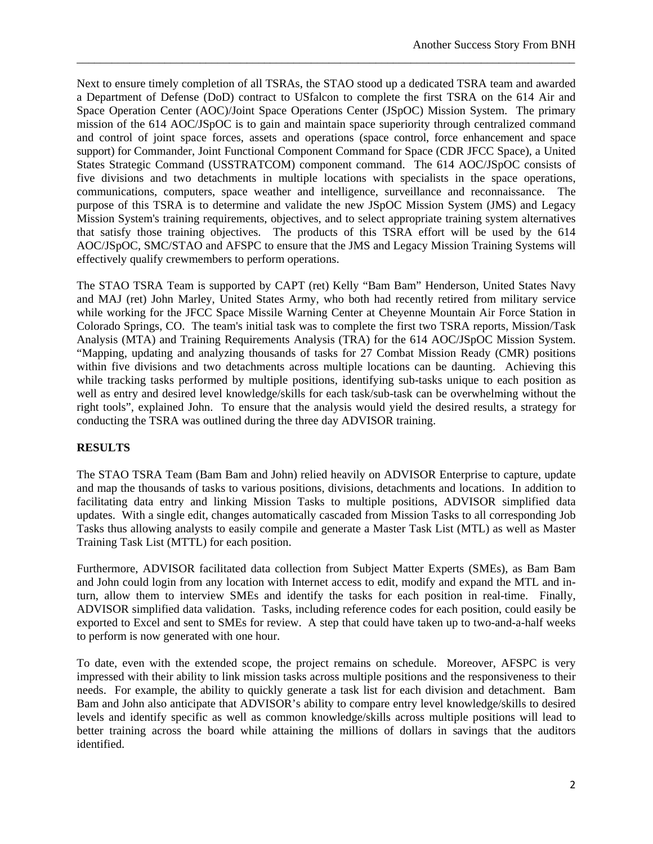Next to ensure timely completion of all TSRAs, the STAO stood up a dedicated TSRA team and awarded a Department of Defense (DoD) contract to USfalcon to complete the first TSRA on the 614 Air and Space Operation Center (AOC)/Joint Space Operations Center (JSpOC) Mission System. The primary mission of the 614 AOC/JSpOC is to gain and maintain space superiority through centralized command and control of joint space forces, assets and operations (space control, force enhancement and space support) for Commander, Joint Functional Component Command for Space (CDR JFCC Space), a United States Strategic Command (USSTRATCOM) component command. The 614 AOC/JSpOC consists of five divisions and two detachments in multiple locations with specialists in the space operations, communications, computers, space weather and intelligence, surveillance and reconnaissance. The purpose of this TSRA is to determine and validate the new JSpOC Mission System (JMS) and Legacy Mission System's training requirements, objectives, and to select appropriate training system alternatives that satisfy those training objectives. The products of this TSRA effort will be used by the 614 AOC/JSpOC, SMC/STAO and AFSPC to ensure that the JMS and Legacy Mission Training Systems will effectively qualify crewmembers to perform operations.

\_\_\_\_\_\_\_\_\_\_\_\_\_\_\_\_\_\_\_\_\_\_\_\_\_\_\_\_\_\_\_\_\_\_\_\_\_\_\_\_\_\_\_\_\_\_\_\_\_\_\_\_\_\_\_\_\_\_\_\_\_\_\_\_\_\_\_\_\_\_\_\_\_\_\_\_\_\_\_\_\_\_\_\_\_

The STAO TSRA Team is supported by CAPT (ret) Kelly "Bam Bam" Henderson, United States Navy and MAJ (ret) John Marley, United States Army, who both had recently retired from military service while working for the JFCC Space Missile Warning Center at Cheyenne Mountain Air Force Station in Colorado Springs, CO. The team's initial task was to complete the first two TSRA reports, Mission/Task Analysis (MTA) and Training Requirements Analysis (TRA) for the 614 AOC/JSpOC Mission System. "Mapping, updating and analyzing thousands of tasks for 27 Combat Mission Ready (CMR) positions within five divisions and two detachments across multiple locations can be daunting. Achieving this while tracking tasks performed by multiple positions, identifying sub-tasks unique to each position as well as entry and desired level knowledge/skills for each task/sub-task can be overwhelming without the right tools", explained John. To ensure that the analysis would yield the desired results, a strategy for conducting the TSRA was outlined during the three day ADVISOR training.

## **RESULTS**

The STAO TSRA Team (Bam Bam and John) relied heavily on ADVISOR Enterprise to capture, update and map the thousands of tasks to various positions, divisions, detachments and locations. In addition to facilitating data entry and linking Mission Tasks to multiple positions, ADVISOR simplified data updates. With a single edit, changes automatically cascaded from Mission Tasks to all corresponding Job Tasks thus allowing analysts to easily compile and generate a Master Task List (MTL) as well as Master Training Task List (MTTL) for each position.

Furthermore, ADVISOR facilitated data collection from Subject Matter Experts (SMEs), as Bam Bam and John could login from any location with Internet access to edit, modify and expand the MTL and inturn, allow them to interview SMEs and identify the tasks for each position in real-time. Finally, ADVISOR simplified data validation. Tasks, including reference codes for each position, could easily be exported to Excel and sent to SMEs for review. A step that could have taken up to two-and-a-half weeks to perform is now generated with one hour.

To date, even with the extended scope, the project remains on schedule. Moreover, AFSPC is very impressed with their ability to link mission tasks across multiple positions and the responsiveness to their needs. For example, the ability to quickly generate a task list for each division and detachment. Bam Bam and John also anticipate that ADVISOR's ability to compare entry level knowledge/skills to desired levels and identify specific as well as common knowledge/skills across multiple positions will lead to better training across the board while attaining the millions of dollars in savings that the auditors identified.